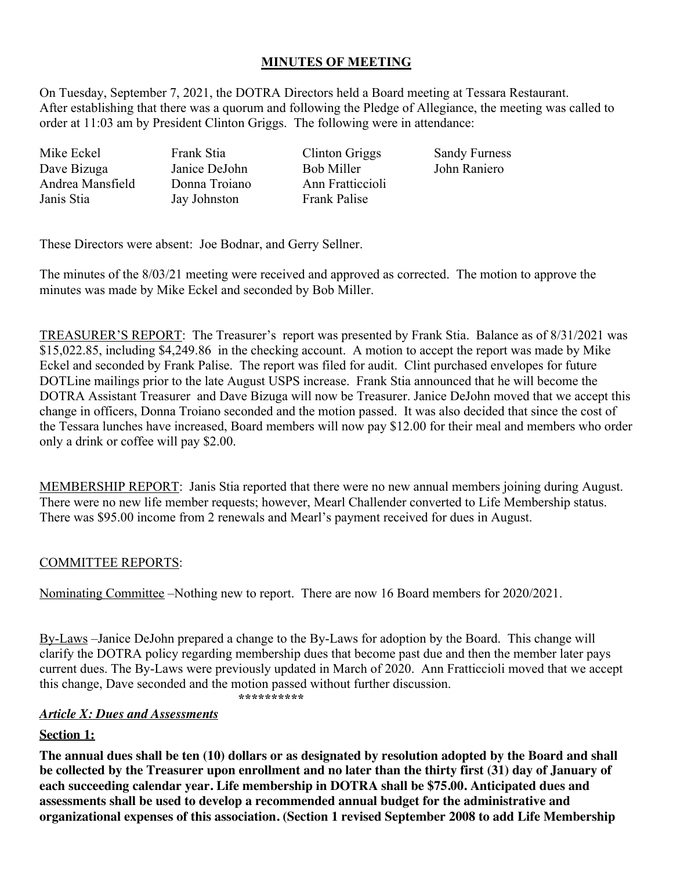# **MINUTES OF MEETING**

On Tuesday, September 7, 2021, the DOTRA Directors held a Board meeting at Tessara Restaurant. After establishing that there was a quorum and following the Pledge of Allegiance, the meeting was called to order at 11:03 am by President Clinton Griggs. The following were in attendance:

Mike Eckel Frank Stia Clinton Griggs Sandy Furness Dave Bizuga Janice DeJohn Bob Miller John Raniero Andrea Mansfield Janis Stia

Donna Troiano Jay Johnston

Ann Fratticcioli Frank Palise

These Directors were absent: Joe Bodnar, and Gerry Sellner.

The minutes of the 8/03/21 meeting were received and approved as corrected. The motion to approve the minutes was made by Mike Eckel and seconded by Bob Miller.

TREASURER'S REPORT: The Treasurer's report was presented by Frank Stia. Balance as of 8/31/2021 was \$15,022.85, including \$4,249.86 in the checking account. A motion to accept the report was made by Mike Eckel and seconded by Frank Palise. The report was filed for audit. Clint purchased envelopes for future DOTLine mailings prior to the late August USPS increase. Frank Stia announced that he will become the DOTRA Assistant Treasurer and Dave Bizuga will now be Treasurer. Janice DeJohn moved that we accept this change in officers, Donna Troiano seconded and the motion passed. It was also decided that since the cost of the Tessara lunches have increased, Board members will now pay \$12.00 for their meal and members who order only a drink or coffee will pay \$2.00.

MEMBERSHIP REPORT: Janis Stia reported that there were no new annual members joining during August. There were no new life member requests; however, Mearl Challender converted to Life Membership status. There was \$95.00 income from 2 renewals and Mearl's payment received for dues in August.

## COMMITTEE REPORTS:

Nominating Committee –Nothing new to report. There are now 16 Board members for 2020/2021.

By-Laws –Janice DeJohn prepared a change to the By-Laws for adoption by the Board. This change will clarify the DOTRA policy regarding membership dues that become past due and then the member later pays current dues. The By-Laws were previously updated in March of 2020. Ann Fratticcioli moved that we accept this change, Dave seconded and the motion passed without further discussion.

*\*\*\*\*\*\*\*\*\*\**

### *Article X: Dues and Assessments*

### **Section 1:**

**The annual dues shall be ten (10) dollars or as designated by resolution adopted by the Board and shall be collected by the Treasurer upon enrollment and no later than the thirty first (31) day of January of each succeeding calendar year. Life membership in DOTRA shall be \$75.00. Anticipated dues and assessments shall be used to develop a recommended annual budget for the administrative and organizational expenses of this association. (Section 1 revised September 2008 to add Life Membership**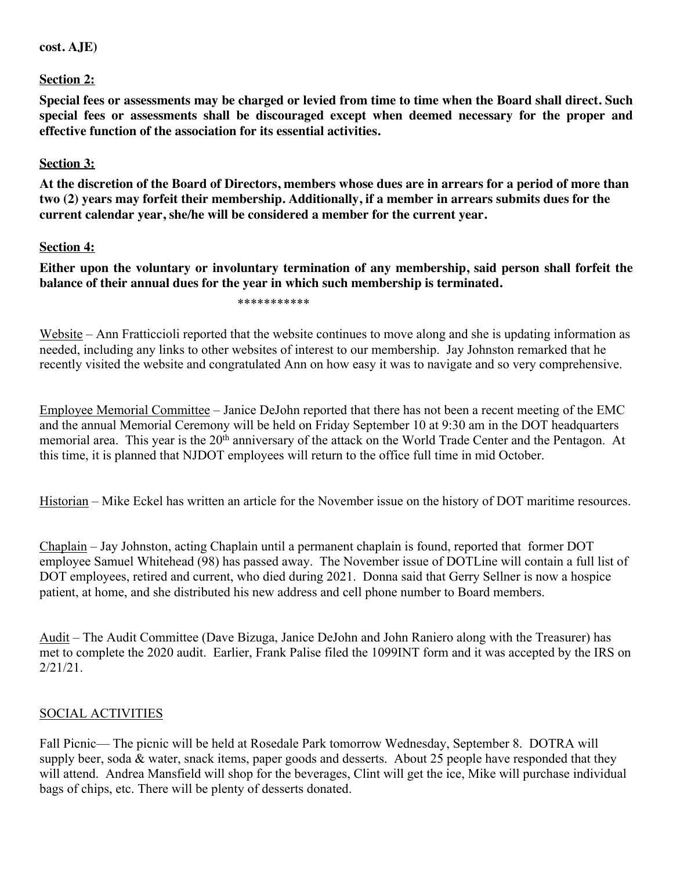#### **cost. AJE)**

**Section 2:**

**Special fees or assessments may be charged or levied from time to time when the Board shall direct. Such special fees or assessments shall be discouraged except when deemed necessary for the proper and effective function of the association for its essential activities.**

## **Section 3:**

**At the discretion of the Board of Directors, members whose dues are in arrears for a period of more than two (2) years may forfeit their membership. Additionally, if a member in arrears submits dues for the current calendar year, she/he will be considered a member for the current year.**

## **Section 4:**

**Either upon the voluntary or involuntary termination of any membership, said person shall forfeit the balance of their annual dues for the year in which such membership is terminated.**

\*\*\*\*\*\*\*\*\*\*\*

Website – Ann Fratticcioli reported that the website continues to move along and she is updating information as needed, including any links to other websites of interest to our membership. Jay Johnston remarked that he recently visited the website and congratulated Ann on how easy it was to navigate and so very comprehensive.

Employee Memorial Committee – Janice DeJohn reported that there has not been a recent meeting of the EMC and the annual Memorial Ceremony will be held on Friday September 10 at 9:30 am in the DOT headquarters memorial area. This year is the 20<sup>th</sup> anniversary of the attack on the World Trade Center and the Pentagon. At this time, it is planned that NJDOT employees will return to the office full time in mid October.

Historian – Mike Eckel has written an article for the November issue on the history of DOT maritime resources.

Chaplain – Jay Johnston, acting Chaplain until a permanent chaplain is found, reported that former DOT employee Samuel Whitehead (98) has passed away. The November issue of DOTLine will contain a full list of DOT employees, retired and current, who died during 2021. Donna said that Gerry Sellner is now a hospice patient, at home, and she distributed his new address and cell phone number to Board members.

Audit – The Audit Committee (Dave Bizuga, Janice DeJohn and John Raniero along with the Treasurer) has met to complete the 2020 audit. Earlier, Frank Palise filed the 1099INT form and it was accepted by the IRS on 2/21/21.

## SOCIAL ACTIVITIES

Fall Picnic— The picnic will be held at Rosedale Park tomorrow Wednesday, September 8. DOTRA will supply beer, soda & water, snack items, paper goods and desserts. About 25 people have responded that they will attend. Andrea Mansfield will shop for the beverages, Clint will get the ice, Mike will purchase individual bags of chips, etc. There will be plenty of desserts donated.